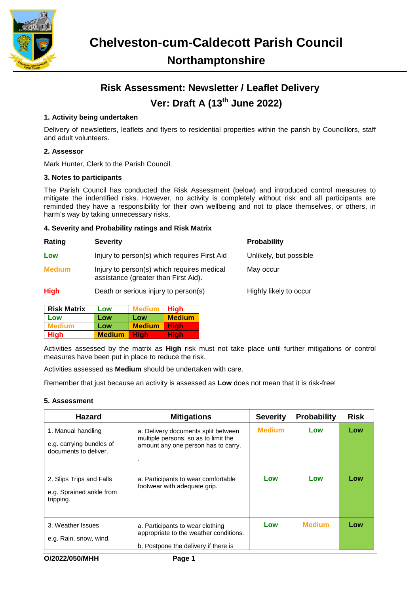

## **Risk Assessment: Newsletter / Leaflet Delivery Ver: Draft A (13th June 2022)**

### **1. Activity being undertaken**

Delivery of newsletters, leaflets and flyers to residential properties within the parish by Councillors, staff and adult volunteers.

#### **2. Assessor**

Mark Hunter, Clerk to the Parish Council.

#### **3. Notes to participants**

The Parish Council has conducted the Risk Assessment (below) and introduced control measures to mitigate the indentified risks. However, no activity is completely without risk and all participants are reminded they have a responsibility for their own wellbeing and not to place themselves, or others, in harm's way by taking unnecessary risks.

#### **4. Severity and Probability ratings and Risk Matrix**

| Rating        | <b>Severity</b>                                                                    | <b>Probability</b>     |
|---------------|------------------------------------------------------------------------------------|------------------------|
| Low           | Injury to person(s) which requires First Aid                                       | Unlikely, but possible |
| <b>Medium</b> | Injury to person(s) which requires medical<br>assistance (greater than First Aid). | May occur              |
| <b>High</b>   | Death or serious injury to person(s)                                               | Highly likely to occur |

| <b>Risk Matrix</b> | Low           | Medium        | <b>High</b>   |
|--------------------|---------------|---------------|---------------|
| Low                | Low           | Low           | <b>Medium</b> |
| Medium             | Low           | <b>Medium</b> | Hiah          |
| <b>High</b>        | <b>Medium</b> | Hiah          | Hiah          |

Activities assessed by the matrix as **High** risk must not take place until further mitigations or control measures have been put in place to reduce the risk.

Activities assessed as **Medium** should be undertaken with care.

Remember that just because an activity is assessed as **Low** does not mean that it is risk-free!

#### **5. Assessment**

| <b>Hazard</b>                                                           | <b>Mitigations</b>                                                                                                 | <b>Severity</b> | <b>Probability</b> | <b>Risk</b> |
|-------------------------------------------------------------------------|--------------------------------------------------------------------------------------------------------------------|-----------------|--------------------|-------------|
| 1. Manual handling<br>e.g. carrying bundles of<br>documents to deliver. | a. Delivery documents split between<br>multiple persons, so as to limit the<br>amount any one person has to carry. | <b>Medium</b>   | Low                | Low         |
| 2. Slips Trips and Falls<br>e.g. Sprained ankle from<br>tripping.       | a. Participants to wear comfortable<br>footwear with adequate grip.                                                | Low             | Low                | Low         |
| 3. Weather Issues<br>e.g. Rain, snow, wind.                             | a. Participants to wear clothing<br>appropriate to the weather conditions.<br>b. Postpone the delivery if there is | Low             | <b>Medium</b>      | Low         |